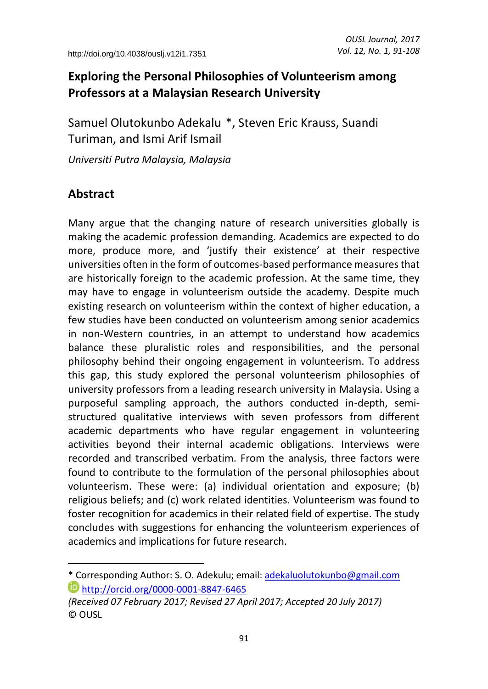# **Exploring the Personal Philosophies of Volunteerism among Professors at a Malaysian Research University**

Samuel Olutokunbo Adekalu<sup>\*</sup>, Steven Eric Krauss, Suandi Turiman, and Ismi Arif Ismail

*Universiti Putra Malaysia, Malaysia*

# **Abstract**

 $\overline{a}$ 

Many argue that the changing nature of research universities globally is making the academic profession demanding. Academics are expected to do more, produce more, and 'justify their existence' at their respective universities often in the form of outcomes-based performance measures that are historically foreign to the academic profession. At the same time, they may have to engage in volunteerism outside the academy. Despite much existing research on volunteerism within the context of higher education, a few studies have been conducted on volunteerism among senior academics in non-Western countries, in an attempt to understand how academics balance these pluralistic roles and responsibilities, and the personal philosophy behind their ongoing engagement in volunteerism. To address this gap, this study explored the personal volunteerism philosophies of university professors from a leading research university in Malaysia. Using a purposeful sampling approach, the authors conducted in-depth, semistructured qualitative interviews with seven professors from different academic departments who have regular engagement in volunteering activities beyond their internal academic obligations. Interviews were recorded and transcribed verbatim. From the analysis, three factors were found to contribute to the formulation of the personal philosophies about volunteerism. These were: (a) individual orientation and exposure; (b) religious beliefs; and (c) work related identities. Volunteerism was found to foster recognition for academics in their related field of expertise. The study concludes with suggestions for enhancing the volunteerism experiences of academics and implications for future research.

<sup>\*</sup> Corresponding Author: S. O. Adekulu; email: [adekaluolutokunbo@gmail.com](mailto:adekaluolutokunbo@gmail.com) <http://orcid.org/0000-0001-8847-6465>

*<sup>(</sup>Received 07 February 2017; Revised 27 April 2017; Accepted 20 July 2017)* © OUSL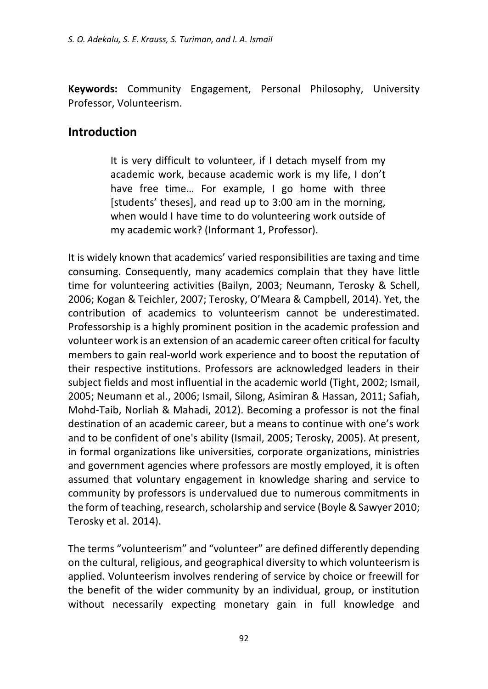**Keywords:** Community Engagement, Personal Philosophy, University Professor, Volunteerism.

### **Introduction**

It is very difficult to volunteer, if I detach myself from my academic work, because academic work is my life, I don't have free time… For example, I go home with three [students' theses], and read up to 3:00 am in the morning, when would I have time to do volunteering work outside of my academic work? (Informant 1, Professor).

It is widely known that academics' varied responsibilities are taxing and time consuming. Consequently, many academics complain that they have little time for volunteering activities (Bailyn, 2003; Neumann, Terosky & Schell, 2006; Kogan & Teichler, 2007; Terosky, O'Meara & Campbell, 2014). Yet, the contribution of academics to volunteerism cannot be underestimated. Professorship is a highly prominent position in the academic profession and volunteer work is an extension of an academic career often critical for faculty members to gain real-world work experience and to boost the reputation of their respective institutions. Professors are acknowledged leaders in their subject fields and most influential in the academic world (Tight, 2002; Ismail, 2005; Neumann et al., 2006; Ismail, Silong, Asimiran & Hassan, 2011; Safiah, Mohd-Taib, Norliah & Mahadi, 2012). Becoming a professor is not the final destination of an academic career, but a means to continue with one's work and to be confident of one's ability (Ismail, 2005; Terosky, 2005). At present, in formal organizations like universities, corporate organizations, ministries and government agencies where professors are mostly employed, it is often assumed that voluntary engagement in knowledge sharing and service to community by professors is undervalued due to numerous commitments in the form of teaching, research, scholarship and service (Boyle & Sawyer 2010; Terosky et al. 2014).

The terms "volunteerism" and "volunteer" are defined differently depending on the cultural, religious, and geographical diversity to which volunteerism is applied. Volunteerism involves rendering of service by choice or freewill for the benefit of the wider community by an individual, group, or institution without necessarily expecting monetary gain in full knowledge and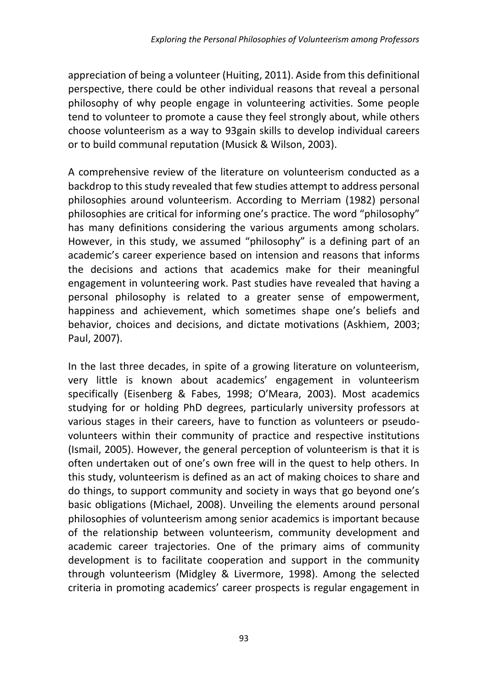appreciation of being a volunteer (Huiting, 2011). Aside from this definitional perspective, there could be other individual reasons that reveal a personal philosophy of why people engage in volunteering activities. Some people tend to volunteer to promote a cause they feel strongly about, while others choose volunteerism as a way to 93gain skills to develop individual careers or to build communal reputation (Musick & Wilson, 2003).

A comprehensive review of the literature on volunteerism conducted as a backdrop to this study revealed that few studies attempt to address personal philosophies around volunteerism. According to Merriam (1982) personal philosophies are critical for informing one's practice. The word "philosophy" has many definitions considering the various arguments among scholars. However, in this study, we assumed "philosophy" is a defining part of an academic's career experience based on intension and reasons that informs the decisions and actions that academics make for their meaningful engagement in volunteering work. Past studies have revealed that having a personal philosophy is related to a greater sense of empowerment, happiness and achievement, which sometimes shape one's beliefs and behavior, choices and decisions, and dictate motivations (Askhiem, 2003; Paul, 2007).

In the last three decades, in spite of a growing literature on volunteerism, very little is known about academics' engagement in volunteerism specifically (Eisenberg & Fabes, 1998; O'Meara, 2003). Most academics studying for or holding PhD degrees, particularly university professors at various stages in their careers, have to function as volunteers or pseudovolunteers within their community of practice and respective institutions (Ismail, 2005). However, the general perception of volunteerism is that it is often undertaken out of one's own free will in the quest to help others. In this study, volunteerism is defined as an act of making choices to share and do things, to support community and society in ways that go beyond one's basic obligations (Michael, 2008). Unveiling the elements around personal philosophies of volunteerism among senior academics is important because of the relationship between volunteerism, community development and academic career trajectories. One of the primary aims of community development is to facilitate cooperation and support in the community through volunteerism (Midgley & Livermore, 1998). Among the selected criteria in promoting academics' career prospects is regular engagement in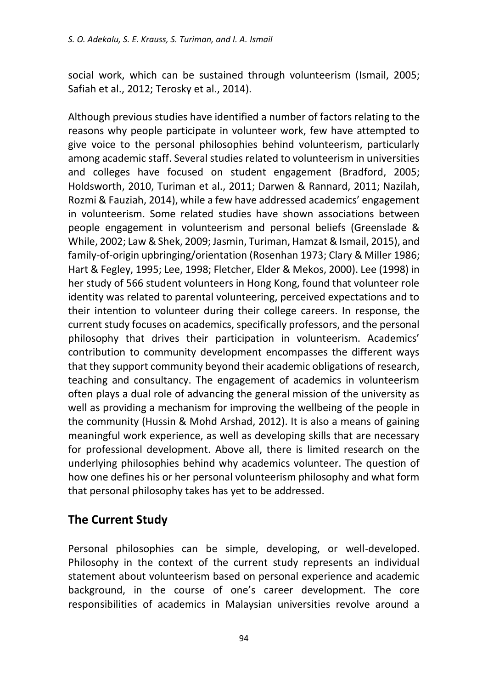social work, which can be sustained through volunteerism (Ismail, 2005; Safiah et al., 2012; Terosky et al., 2014).

Although previous studies have identified a number of factors relating to the reasons why people participate in volunteer work, few have attempted to give voice to the personal philosophies behind volunteerism, particularly among academic staff. Several studies related to volunteerism in universities and colleges have focused on student engagement (Bradford, 2005; Holdsworth, 2010, Turiman et al., 2011; Darwen & Rannard, 2011; Nazilah, Rozmi & Fauziah, 2014), while a few have addressed academics' engagement in volunteerism. Some related studies have shown associations between people engagement in volunteerism and personal beliefs (Greenslade & While, 2002; Law & Shek, 2009; Jasmin, Turiman, Hamzat & Ismail, 2015), and family-of-origin upbringing/orientation (Rosenhan 1973; Clary & Miller 1986; Hart & Fegley, 1995; Lee, 1998; Fletcher, Elder & Mekos, 2000). Lee (1998) in her study of 566 student volunteers in Hong Kong, found that volunteer role identity was related to parental volunteering, perceived expectations and to their intention to volunteer during their college careers. In response, the current study focuses on academics, specifically professors, and the personal philosophy that drives their participation in volunteerism. Academics' contribution to community development encompasses the different ways that they support community beyond their academic obligations of research, teaching and consultancy. The engagement of academics in volunteerism often plays a dual role of advancing the general mission of the university as well as providing a mechanism for improving the wellbeing of the people in the community (Hussin & Mohd Arshad, 2012). It is also a means of gaining meaningful work experience, as well as developing skills that are necessary for professional development. Above all, there is limited research on the underlying philosophies behind why academics volunteer. The question of how one defines his or her personal volunteerism philosophy and what form that personal philosophy takes has yet to be addressed.

# **The Current Study**

Personal philosophies can be simple, developing, or well-developed. Philosophy in the context of the current study represents an individual statement about volunteerism based on personal experience and academic background, in the course of one's career development. The core responsibilities of academics in Malaysian universities revolve around a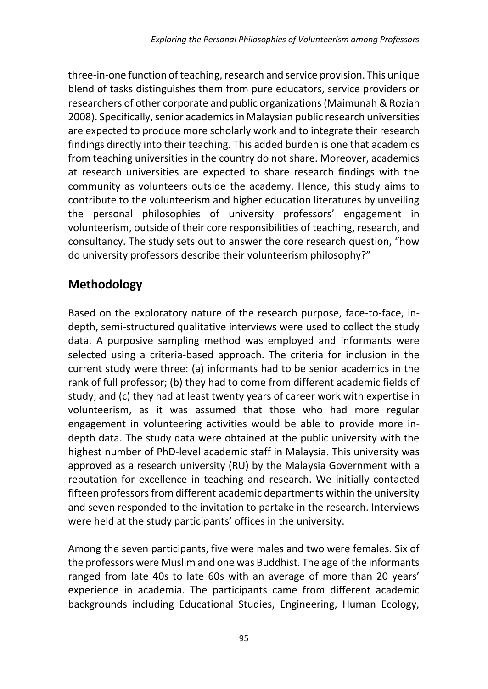three-in-one function of teaching, research and service provision. This unique blend of tasks distinguishes them from pure educators, service providers or researchers of other corporate and public organizations (Maimunah & Roziah 2008). Specifically, senior academics in Malaysian public research universities are expected to produce more scholarly work and to integrate their research findings directly into their teaching. This added burden is one that academics from teaching universities in the country do not share. Moreover, academics at research universities are expected to share research findings with the community as volunteers outside the academy. Hence, this study aims to contribute to the volunteerism and higher education literatures by unveiling the personal philosophies of university professors' engagement in volunteerism, outside of their core responsibilities of teaching, research, and consultancy. The study sets out to answer the core research question, "how do university professors describe their volunteerism philosophy?"

# **Methodology**

Based on the exploratory nature of the research purpose, face-to-face, indepth, semi-structured qualitative interviews were used to collect the study data. A purposive sampling method was employed and informants were selected using a criteria-based approach. The criteria for inclusion in the current study were three: (a) informants had to be senior academics in the rank of full professor; (b) they had to come from different academic fields of study; and (c) they had at least twenty years of career work with expertise in volunteerism, as it was assumed that those who had more regular engagement in volunteering activities would be able to provide more indepth data. The study data were obtained at the public university with the highest number of PhD-level academic staff in Malaysia. This university was approved as a research university (RU) by the Malaysia Government with a reputation for excellence in teaching and research. We initially contacted fifteen professors from different academic departments within the university and seven responded to the invitation to partake in the research. Interviews were held at the study participants' offices in the university.

Among the seven participants, five were males and two were females. Six of the professors were Muslim and one was Buddhist. The age of the informants ranged from late 40s to late 60s with an average of more than 20 years' experience in academia. The participants came from different academic backgrounds including Educational Studies, Engineering, Human Ecology,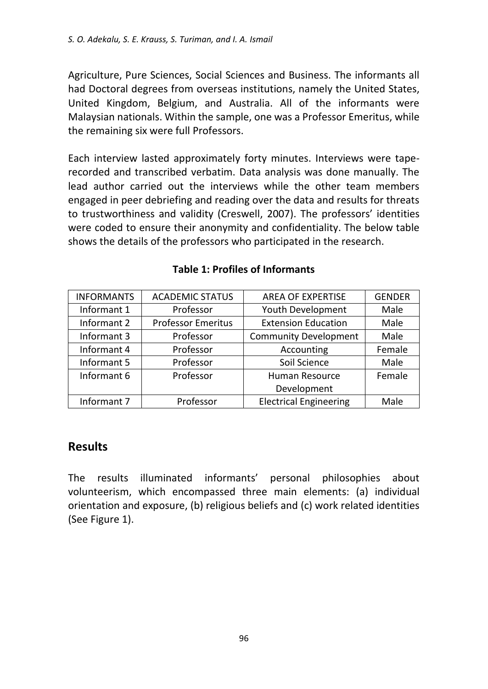Agriculture, Pure Sciences, Social Sciences and Business. The informants all had Doctoral degrees from overseas institutions, namely the United States, United Kingdom, Belgium, and Australia. All of the informants were Malaysian nationals. Within the sample, one was a Professor Emeritus, while the remaining six were full Professors.

Each interview lasted approximately forty minutes. Interviews were taperecorded and transcribed verbatim. Data analysis was done manually. The lead author carried out the interviews while the other team members engaged in peer debriefing and reading over the data and results for threats to trustworthiness and validity (Creswell, 2007). The professors' identities were coded to ensure their anonymity and confidentiality. The below table shows the details of the professors who participated in the research.

| <b>INFORMANTS</b> | <b>ACADEMIC STATUS</b>    | <b>AREA OF EXPERTISE</b>      | <b>GENDER</b> |
|-------------------|---------------------------|-------------------------------|---------------|
| Informant 1       | Professor                 | Youth Development             | Male          |
| Informant 2       | <b>Professor Emeritus</b> | <b>Extension Education</b>    | Male          |
| Informant 3       | Professor                 | <b>Community Development</b>  | Male          |
| Informant 4       | Professor                 | Accounting                    | Female        |
| Informant 5       | Professor                 | Soil Science                  | Male          |
| Informant 6       | Professor                 | Human Resource                | Female        |
|                   |                           | Development                   |               |
| Informant 7       | Professor                 | <b>Electrical Engineering</b> | Male          |

#### **Table 1: Profiles of Informants**

## **Results**

The results illuminated informants' personal philosophies about volunteerism, which encompassed three main elements: (a) individual orientation and exposure, (b) religious beliefs and (c) work related identities (See Figure 1).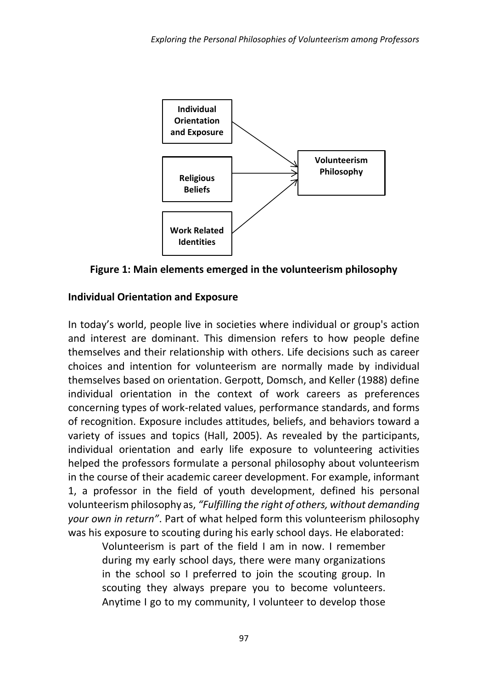

**Figure 1: Main elements emerged in the volunteerism philosophy**

#### **Individual Orientation and Exposure**

In today's world, people live in societies where individual or group's action and interest are dominant. This dimension refers to how people define themselves and their relationship with others. Life decisions such as career choices and intention for volunteerism are normally made by individual themselves based on orientation. Gerpott, Domsch, and Keller (1988) define individual orientation in the context of work careers as preferences concerning types of work-related values, performance standards, and forms of recognition. Exposure includes attitudes, beliefs, and behaviors toward a variety of issues and topics (Hall, 2005). As revealed by the participants, individual orientation and early life exposure to volunteering activities helped the professors formulate a personal philosophy about volunteerism in the course of their academic career development. For example, informant 1, a professor in the field of youth development, defined his personal volunteerism philosophy as, *"Fulfilling the right of others, without demanding your own in return"*. Part of what helped form this volunteerism philosophy was his exposure to scouting during his early school days. He elaborated:

Volunteerism is part of the field I am in now. I remember during my early school days, there were many organizations in the school so I preferred to join the scouting group. In scouting they always prepare you to become volunteers. Anytime I go to my community, I volunteer to develop those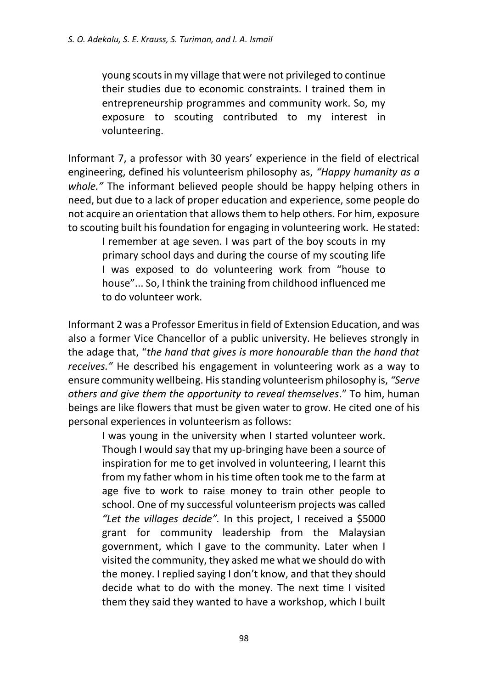young scouts in my village that were not privileged to continue their studies due to economic constraints. I trained them in entrepreneurship programmes and community work. So, my exposure to scouting contributed to my interest in volunteering.

Informant 7, a professor with 30 years' experience in the field of electrical engineering, defined his volunteerism philosophy as, *"Happy humanity as a whole."* The informant believed people should be happy helping others in need, but due to a lack of proper education and experience, some people do not acquire an orientation that allows them to help others. For him, exposure to scouting built his foundation for engaging in volunteering work. He stated:

I remember at age seven. I was part of the boy scouts in my primary school days and during the course of my scouting life I was exposed to do volunteering work from "house to house"... So, I think the training from childhood influenced me to do volunteer work.

Informant 2 was a Professor Emeritus in field of Extension Education, and was also a former Vice Chancellor of a public university. He believes strongly in the adage that, "*the hand that gives is more honourable than the hand that receives."* He described his engagement in volunteering work as a way to ensure community wellbeing. His standing volunteerism philosophy is, *"Serve others and give them the opportunity to reveal themselves*." To him, human beings are like flowers that must be given water to grow. He cited one of his personal experiences in volunteerism as follows:

I was young in the university when I started volunteer work. Though I would say that my up-bringing have been a source of inspiration for me to get involved in volunteering, I learnt this from my father whom in his time often took me to the farm at age five to work to raise money to train other people to school. One of my successful volunteerism projects was called *"Let the villages decide".* In this project, I received a \$5000 grant for community leadership from the Malaysian government, which I gave to the community. Later when I visited the community, they asked me what we should do with the money. I replied saying I don't know, and that they should decide what to do with the money. The next time I visited them they said they wanted to have a workshop, which I built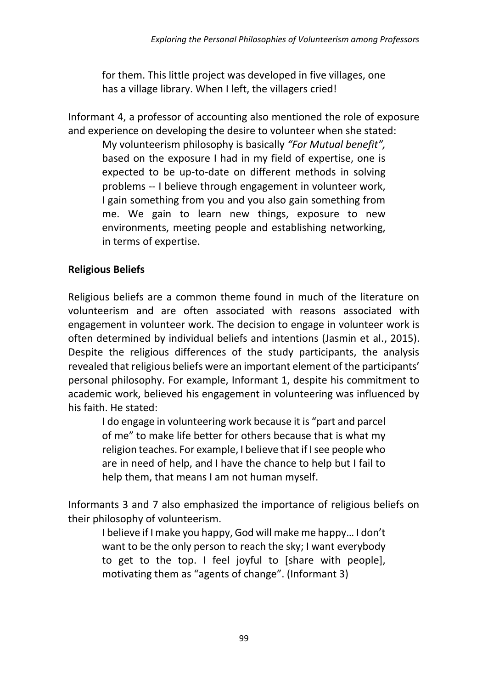for them. This little project was developed in five villages, one has a village library. When I left, the villagers cried!

Informant 4, a professor of accounting also mentioned the role of exposure and experience on developing the desire to volunteer when she stated: My volunteerism philosophy is basically *"For Mutual benefit",* based on the exposure I had in my field of expertise, one is expected to be up-to-date on different methods in solving problems -- I believe through engagement in volunteer work, I gain something from you and you also gain something from me. We gain to learn new things, exposure to new environments, meeting people and establishing networking, in terms of expertise.

## **Religious Beliefs**

Religious beliefs are a common theme found in much of the literature on volunteerism and are often associated with reasons associated with engagement in volunteer work. The decision to engage in volunteer work is often determined by individual beliefs and intentions (Jasmin et al., 2015). Despite the religious differences of the study participants, the analysis revealed that religious beliefs were an important element of the participants' personal philosophy. For example, Informant 1, despite his commitment to academic work, believed his engagement in volunteering was influenced by his faith. He stated:

I do engage in volunteering work because it is "part and parcel of me" to make life better for others because that is what my religion teaches. For example, I believe that if I see people who are in need of help, and I have the chance to help but I fail to help them, that means I am not human myself.

Informants 3 and 7 also emphasized the importance of religious beliefs on their philosophy of volunteerism.

I believe if I make you happy, God will make me happy… I don't want to be the only person to reach the sky; I want everybody to get to the top. I feel joyful to [share with people], motivating them as "agents of change". (Informant 3)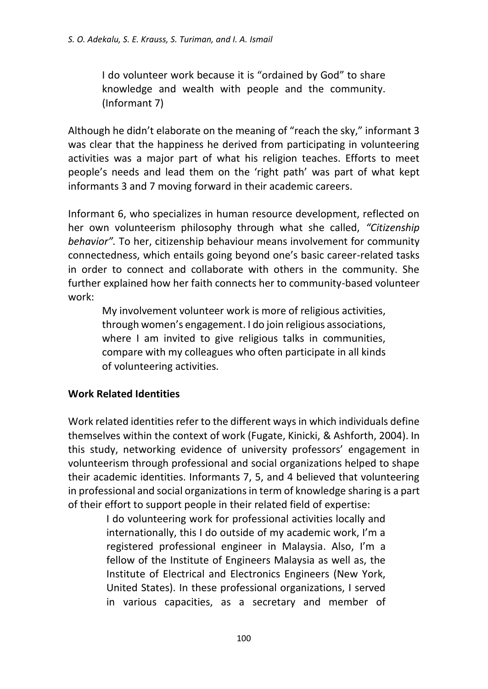I do volunteer work because it is "ordained by God" to share knowledge and wealth with people and the community. (Informant 7)

Although he didn't elaborate on the meaning of "reach the sky," informant 3 was clear that the happiness he derived from participating in volunteering activities was a major part of what his religion teaches. Efforts to meet people's needs and lead them on the 'right path' was part of what kept informants 3 and 7 moving forward in their academic careers.

Informant 6, who specializes in human resource development, reflected on her own volunteerism philosophy through what she called, *"Citizenship behavior".* To her, citizenship behaviour means involvement for community connectedness, which entails going beyond one's basic career-related tasks in order to connect and collaborate with others in the community. She further explained how her faith connects her to community-based volunteer work:

My involvement volunteer work is more of religious activities, through women's engagement. I do join religious associations, where I am invited to give religious talks in communities, compare with my colleagues who often participate in all kinds of volunteering activities.

## **Work Related Identities**

Work related identities refer to the different ways in which individuals define themselves within the context of work (Fugate, Kinicki, & Ashforth, 2004). In this study, networking evidence of university professors' engagement in volunteerism through professional and social organizations helped to shape their academic identities. Informants 7, 5, and 4 believed that volunteering in professional and social organizations in term of knowledge sharing is a part of their effort to support people in their related field of expertise:

> I do volunteering work for professional activities locally and internationally, this I do outside of my academic work, I'm a registered professional engineer in Malaysia. Also, I'm a fellow of the Institute of Engineers Malaysia as well as, the Institute of Electrical and Electronics Engineers (New York, United States). In these professional organizations, I served in various capacities, as a secretary and member of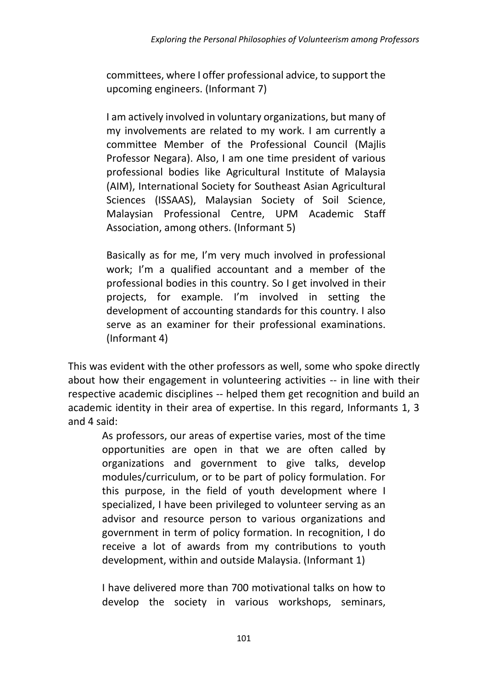committees, where I offer professional advice, to support the upcoming engineers. (Informant 7)

I am actively involved in voluntary organizations, but many of my involvements are related to my work. I am currently a committee Member of the Professional Council (Majlis Professor Negara). Also, I am one time president of various professional bodies like Agricultural Institute of Malaysia (AIM), International Society for Southeast Asian Agricultural Sciences (ISSAAS), Malaysian Society of Soil Science, Malaysian Professional Centre, UPM Academic Staff Association, among others. (Informant 5)

Basically as for me, I'm very much involved in professional work; I'm a qualified accountant and a member of the professional bodies in this country. So I get involved in their projects, for example. I'm involved in setting the development of accounting standards for this country. I also serve as an examiner for their professional examinations. (Informant 4)

This was evident with the other professors as well, some who spoke directly about how their engagement in volunteering activities -- in line with their respective academic disciplines -- helped them get recognition and build an academic identity in their area of expertise. In this regard, Informants 1, 3 and 4 said:

As professors, our areas of expertise varies, most of the time opportunities are open in that we are often called by organizations and government to give talks, develop modules/curriculum, or to be part of policy formulation. For this purpose, in the field of youth development where I specialized, I have been privileged to volunteer serving as an advisor and resource person to various organizations and government in term of policy formation. In recognition, I do receive a lot of awards from my contributions to youth development, within and outside Malaysia. (Informant 1)

I have delivered more than 700 motivational talks on how to develop the society in various workshops, seminars,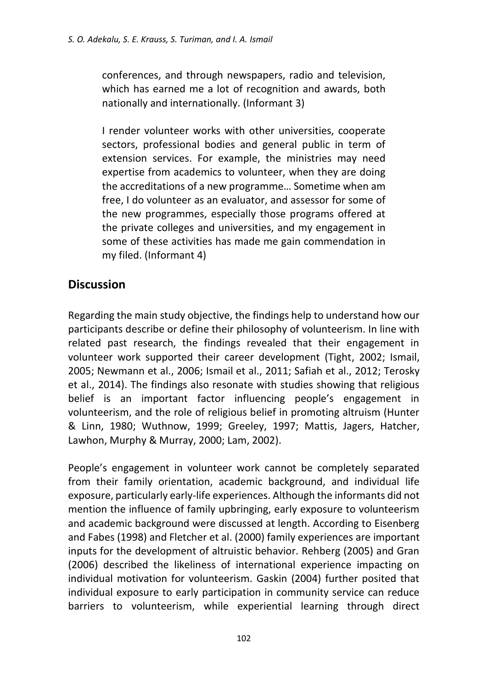conferences, and through newspapers, radio and television, which has earned me a lot of recognition and awards, both nationally and internationally. (Informant 3)

I render volunteer works with other universities, cooperate sectors, professional bodies and general public in term of extension services. For example, the ministries may need expertise from academics to volunteer, when they are doing the accreditations of a new programme… Sometime when am free, I do volunteer as an evaluator, and assessor for some of the new programmes, especially those programs offered at the private colleges and universities, and my engagement in some of these activities has made me gain commendation in my filed. (Informant 4)

# **Discussion**

Regarding the main study objective, the findings help to understand how our participants describe or define their philosophy of volunteerism. In line with related past research, the findings revealed that their engagement in volunteer work supported their career development (Tight, 2002; Ismail, 2005; Newmann et al., 2006; Ismail et al., 2011; Safiah et al., 2012; Terosky et al., 2014). The findings also resonate with studies showing that religious belief is an important factor influencing people's engagement in volunteerism, and the role of religious belief in promoting altruism (Hunter & Linn, 1980; Wuthnow, 1999; Greeley, 1997; Mattis, Jagers, Hatcher, Lawhon, Murphy & Murray, 2000; Lam, 2002).

People's engagement in volunteer work cannot be completely separated from their family orientation, academic background, and individual life exposure, particularly early-life experiences. Although the informants did not mention the influence of family upbringing, early exposure to volunteerism and academic background were discussed at length. According to Eisenberg and Fabes (1998) and Fletcher et al. (2000) family experiences are important inputs for the development of altruistic behavior. Rehberg (2005) and Gran (2006) described the likeliness of international experience impacting on individual motivation for volunteerism. Gaskin (2004) further posited that individual exposure to early participation in community service can reduce barriers to volunteerism, while experiential learning through direct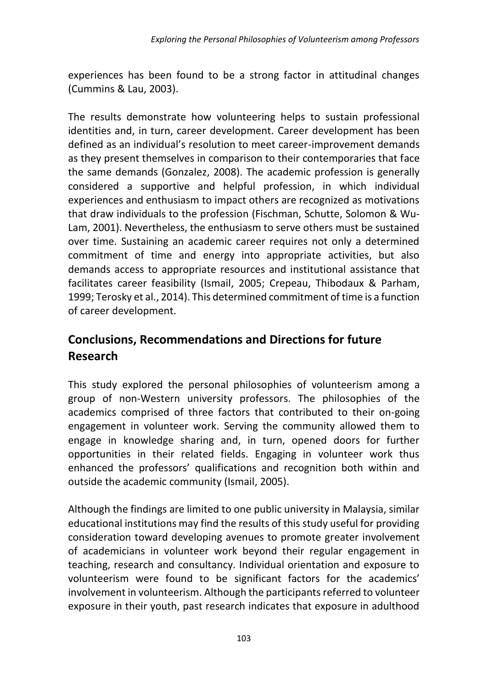experiences has been found to be a strong factor in attitudinal changes (Cummins & Lau, 2003).

The results demonstrate how volunteering helps to sustain professional identities and, in turn, career development. Career development has been defined as an individual's resolution to meet career-improvement demands as they present themselves in comparison to their contemporaries that face the same demands (Gonzalez, 2008). The academic profession is generally considered a supportive and helpful profession, in which individual experiences and enthusiasm to impact others are recognized as motivations that draw individuals to the profession (Fischman, Schutte, Solomon & Wu-Lam, 2001). Nevertheless, the enthusiasm to serve others must be sustained over time. Sustaining an academic career requires not only a determined commitment of time and energy into appropriate activities, but also demands access to appropriate resources and institutional assistance that facilitates career feasibility (Ismail, 2005; Crepeau, Thibodaux & Parham, 1999; Terosky et al., 2014). This determined commitment of time is a function of career development.

# **Conclusions, Recommendations and Directions for future Research**

This study explored the personal philosophies of volunteerism among a group of non-Western university professors. The philosophies of the academics comprised of three factors that contributed to their on-going engagement in volunteer work. Serving the community allowed them to engage in knowledge sharing and, in turn, opened doors for further opportunities in their related fields. Engaging in volunteer work thus enhanced the professors' qualifications and recognition both within and outside the academic community (Ismail, 2005).

Although the findings are limited to one public university in Malaysia, similar educational institutions may find the results of this study useful for providing consideration toward developing avenues to promote greater involvement of academicians in volunteer work beyond their regular engagement in teaching, research and consultancy. Individual orientation and exposure to volunteerism were found to be significant factors for the academics' involvement in volunteerism. Although the participants referred to volunteer exposure in their youth, past research indicates that exposure in adulthood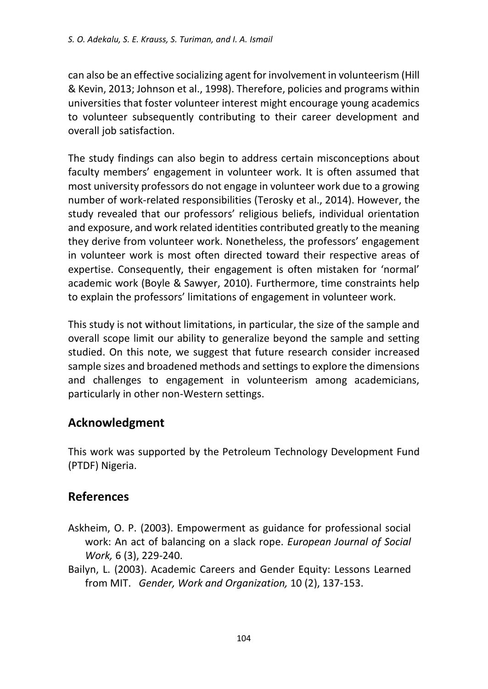can also be an effective socializing agent for involvement in volunteerism (Hill & Kevin, 2013; Johnson et al., 1998). Therefore, policies and programs within universities that foster volunteer interest might encourage young academics to volunteer subsequently contributing to their career development and overall job satisfaction.

The study findings can also begin to address certain misconceptions about faculty members' engagement in volunteer work. It is often assumed that most university professors do not engage in volunteer work due to a growing number of work-related responsibilities (Terosky et al., 2014). However, the study revealed that our professors' religious beliefs, individual orientation and exposure, and work related identities contributed greatly to the meaning they derive from volunteer work. Nonetheless, the professors' engagement in volunteer work is most often directed toward their respective areas of expertise. Consequently, their engagement is often mistaken for 'normal' academic work (Boyle & Sawyer, 2010). Furthermore, time constraints help to explain the professors' limitations of engagement in volunteer work.

This study is not without limitations, in particular, the size of the sample and overall scope limit our ability to generalize beyond the sample and setting studied. On this note, we suggest that future research consider increased sample sizes and broadened methods and settings to explore the dimensions and challenges to engagement in volunteerism among academicians, particularly in other non-Western settings.

# **Acknowledgment**

This work was supported by the Petroleum Technology Development Fund (PTDF) Nigeria.

## **References**

- Askheim, O. P. (2003). Empowerment as guidance for professional social work: An act of balancing on a slack rope. *European Journal of Social Work,* 6 (3), 229-240.
- Bailyn, L. (2003). Academic Careers and Gender Equity: Lessons Learned from MIT. *Gender, Work and Organization,* 10 (2), 137-153.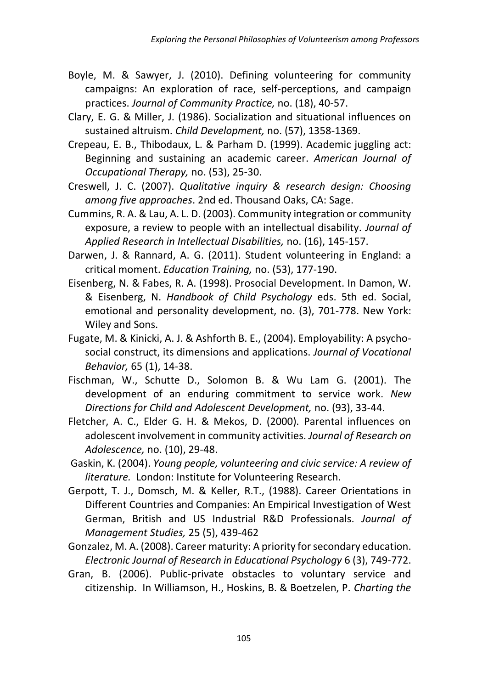- Boyle, M. & Sawyer, J. (2010). Defining volunteering for community campaigns: An exploration of race, self-perceptions, and campaign practices. *Journal of Community Practice,* no. (18), 40-57.
- Clary, E. G. & Miller, J. (1986). Socialization and situational influences on sustained altruism. *Child Development,* no. (57), 1358-1369.
- Crepeau, E. B., Thibodaux, L. & Parham D. (1999). Academic juggling act: Beginning and sustaining an academic career. *American Journal of Occupational Therapy,* no. (53), 25-30.
- Creswell, J. C. (2007). *Qualitative inquiry & research design: Choosing among five approaches*. 2nd ed. Thousand Oaks, CA: Sage.
- Cummins, R. A. & Lau, A. L. D. (2003). Community integration or community exposure, a review to people with an intellectual disability. *Journal of Applied Research in Intellectual Disabilities,* no. (16), 145-157.
- Darwen, J. & Rannard, A. G. (2011). Student volunteering in England: a critical moment. *Education Training,* no. (53), 177-190.
- Eisenberg, N. & Fabes, R. A. (1998). Prosocial Development. In Damon, W. & Eisenberg, N. *Handbook of Child Psychology* eds. 5th ed. Social, emotional and personality development, no. (3), 701-778. New York: Wiley and Sons.
- Fugate, M. & Kinicki, A. J. & Ashforth B. E., (2004). Employability: A psychosocial construct, its dimensions and applications. *Journal of Vocational Behavior,* 65 (1), 14-38.
- Fischman, W., Schutte D., Solomon B. & Wu Lam G. (2001). The development of an enduring commitment to service work. *New Directions for Child and Adolescent Development,* no. (93), 33-44.
- Fletcher, A. C., Elder G. H. & Mekos, D. (2000). Parental influences on adolescent involvement in community activities. *Journal of Research on Adolescence,* no. (10), 29-48.
- Gaskin, K. (2004). *Young people, volunteering and civic service: A review of literature.* London: Institute for Volunteering Research.
- Gerpott, T. J., Domsch, M. & Keller, R.T., (1988). Career Orientations in Different Countries and Companies: An Empirical Investigation of West German, British and US Industrial R&D Professionals. *Journal of Management Studies,* 25 (5), 439-462
- Gonzalez, M. A. (2008). Career maturity: A priority for secondary education. *Electronic Journal of Research in Educational Psychology* 6 (3), 749-772.
- Gran, B. (2006). Public-private obstacles to voluntary service and citizenship. In Williamson, H., Hoskins, B. & Boetzelen, P. *Charting the*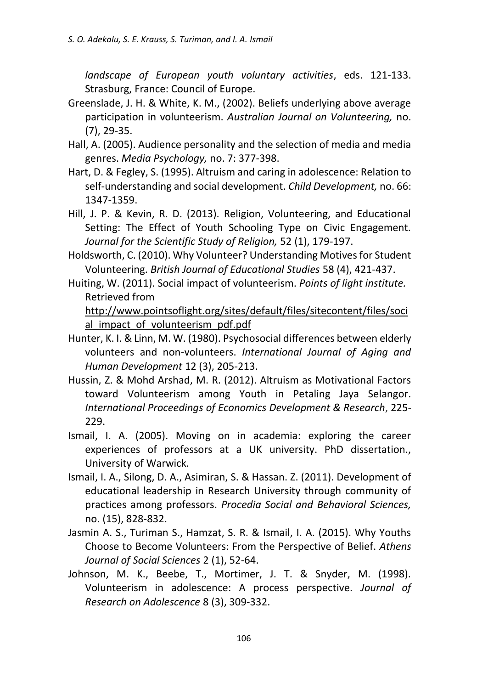*landscape of European youth voluntary activities*, eds. 121-133. Strasburg, France: Council of Europe.

- Greenslade, J. H. & White, K. M., (2002). Beliefs underlying above average participation in volunteerism. *Australian Journal on Volunteering,* no. (7), 29-35.
- Hall, A. (2005). Audience personality and the selection of media and media genres. *Media Psychology,* no. 7: 377-398.
- Hart, D. & Fegley, S. (1995). Altruism and caring in adolescence: Relation to self-understanding and social development. *Child Development,* no. 66: 1347-1359.
- Hill, J. P. & Kevin, R. D. (2013). Religion, Volunteering, and Educational Setting: The Effect of Youth Schooling Type on Civic Engagement. *Journal for the Scientific Study of Religion,* 52 (1), 179-197.
- Holdsworth, C. (2010). Why Volunteer? Understanding Motives for Student Volunteering. *British Journal of Educational Studies* 58 (4), 421-437.
- Huiting, W. (2011). Social impact of volunteerism. *Points of light institute.* Retrieved from

[http://www.pointsoflight.org/sites/default/files/sitecontent/files/soci](http://www.pointsoflight.org/sites/default/files/sitecontent/files/social_impact_of_volunteerism_pdf.pdf) al impact of volunteerism pdf.pdf

- Hunter, K. I. & Linn, M. W. (1980). Psychosocial differences between elderly volunteers and non-volunteers. *International Journal of Aging and Human Development* 12 (3), 205-213.
- Hussin, Z. & Mohd Arshad, M. R. (2012). Altruism as Motivational Factors toward Volunteerism among Youth in Petaling Jaya Selangor. *International Proceedings of Economics Development & Research*, 225- 229.
- Ismail, I. A. (2005). Moving on in academia: exploring the career experiences of professors at a UK university. PhD dissertation., University of Warwick.
- Ismail, I. A., Silong, D. A., Asimiran, S. & Hassan. Z. (2011). Development of educational leadership in Research University through community of practices among professors. *Procedia Social and Behavioral Sciences,*  no. (15), 828-832.
- Jasmin A. S., Turiman S., Hamzat, S. R. & Ismail, I. A. (2015). Why Youths Choose to Become Volunteers: From the Perspective of Belief. *Athens Journal of Social Sciences* 2 (1), 52-64.
- Johnson, M. K., Beebe, T., Mortimer, J. T. & Snyder, M. (1998). Volunteerism in adolescence: A process perspective. *Journal of Research on Adolescence* 8 (3), 309-332.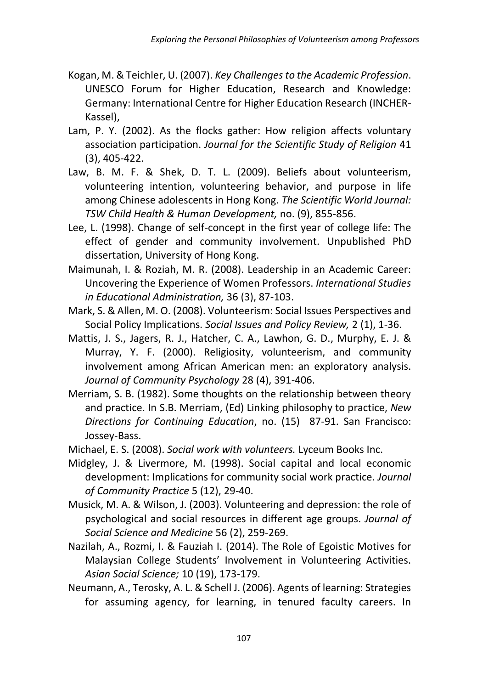- Kogan, M. & Teichler, U. (2007). *Key Challenges to the Academic Profession*. UNESCO Forum for Higher Education, Research and Knowledge: Germany: International Centre for Higher Education Research (INCHER-Kassel),
- Lam, P. Y. (2002). As the flocks gather: How religion affects voluntary association participation. *Journal for the Scientific Study of Religion* 41 (3), 405-422.
- Law, B. M. F. & Shek, D. T. L. (2009). Beliefs about volunteerism, volunteering intention, volunteering behavior, and purpose in life among Chinese adolescents in Hong Kong. *The Scientific World Journal: TSW Child Health & Human Development,* no. (9), 855-856.
- Lee, L. (1998). Change of self-concept in the first year of college life: The effect of gender and community involvement. Unpublished PhD dissertation, University of Hong Kong.
- Maimunah, I. & Roziah, M. R. (2008). Leadership in an Academic Career: Uncovering the Experience of Women Professors. *International Studies in Educational Administration,* 36 (3), 87-103.
- Mark, S. & Allen, M. O. (2008). Volunteerism: Social Issues Perspectives and Social Policy Implications. *Social Issues and Policy Review,* 2 (1), 1-36.
- Mattis, J. S., Jagers, R. J., Hatcher, C. A., Lawhon, G. D., Murphy, E. J. & Murray, Y. F. (2000). Religiosity, volunteerism, and community involvement among African American men: an exploratory analysis. *Journal of Community Psychology* 28 (4), 391-406.
- Merriam, S. B. (1982). Some thoughts on the relationship between theory and practice. In S.B. Merriam, (Ed) Linking philosophy to practice, *New Directions for Continuing Education*, no. (15) 87-91. San Francisco: Jossey-Bass.
- Michael, E. S. (2008). *Social work with volunteers.* Lyceum Books Inc.
- Midgley, J. & Livermore, M. (1998). Social capital and local economic development: Implications for community social work practice. *Journal of Community Practice* 5 (12), 29-40.
- Musick, M. A. & Wilson, J. (2003). Volunteering and depression: the role of psychological and social resources in different age groups. *Journal of Social Science and Medicine* 56 (2), 259-269.
- Nazilah, A., Rozmi, I. & Fauziah I. (2014). The Role of Egoistic Motives for Malaysian College Students' Involvement in Volunteering Activities. *Asian Social Science;* 10 (19), 173-179.
- Neumann, A., Terosky, A. L. & Schell J. (2006). Agents of learning: Strategies for assuming agency, for learning, in tenured faculty careers. In